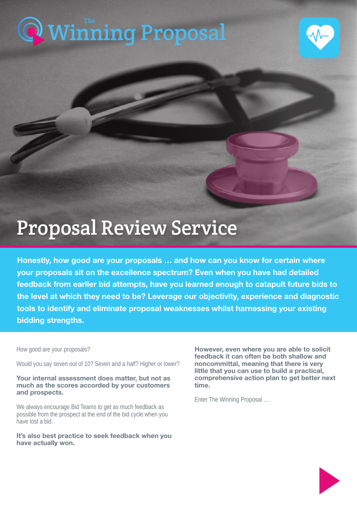# [Winning Proposal](https://www.thewinningproposal.com) The



# Proposal Review Service

Honestly, how good are your proposals … and how can you know for certain where your proposals sit on the excellence spectrum? Even when you have had detailed feedback from earlier bid attempts, have you learned enough to catapult future bids to the level at which they need to be? Leverage our objectivity, experience and diagnostic tools to identify and eliminate proposal weaknesses whilst harnessing your existing bidding strengths.

How good are your proposals?

Would you say seven out of 10? Seven and a half? Higher or lower?

Your internal assessment does matter, but not as much as the scores accorded by your customers and prospects.

We always encourage Bid Teams to get as much feedback as possible from the prospect at the end of the bid cycle when you have lost a bid.

It's also best practice to seek feedback when you have actually won.

However, even where you are able to solicit feedback it can often be both shallow and noncommittal, meaning that there is very little that you can use to build a practical, comprehensive action plan to get better next time.

Enter The Winning Proposal ….

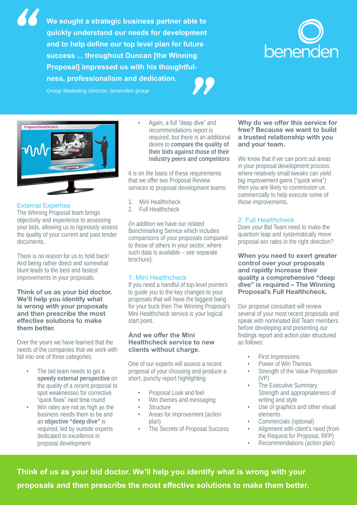**We sought a strategic business partner able to quickly understand our needs for development and to help define our top level plan for future success ... throughout Duncan [the Winning Proposal] impressed us with his thoughtfulness, professionalism and dedication.** *"* and to help define our top level plan for future<br>success ... throughout Duncan [the Winning<br>Proposal] impressed us with his thoughtful-<br>ness, professionalism and dedication.<br>Group Marketing Director, benenden group





# External Expertise

The Winning Proposal team brings objectivity and experience to assessing your bids, allowing us to rigorously assess the quality of your current and past tender documents.

There is no reason for us to hold back! And being rather direct and somewhat blunt leads to the best and fastest improvements in your proposals.

#### Think of us as your bid doctor. We'll help you identify what is wrong with your proposals and then prescribe the most effective solutions to make them better.

Over the years we have learned that the needs of the companies that we work with fall into one of three categories:

- The bid team needs to get a **speedy external perspective** on the quality of a recent proposal to spot weaknesses for corrective "quick fixes" next time round
- Win rates are not as high as the business needs them to be and an **objective "deep dive"** is required, led by outside experts dedicated to excellence in proposal development

• Again, a full "deep dive" and recommendations report is required, but there is an additional desire to **compare the quality of their bids against those of their industry peers and competitors** 

It is on the basis of these requirements that we offer two Proposal Review services to proposal development teams:

- 1. Mini Healthcheck
- 2. Full Healthcheck

(In addition we have our related Benchmarking Service which includes comparisons of your proposals compared to those of others in your sector, where such data is available – see separate brochure).

# 1. Mini Healthcheck

If you need a handful of top-level pointers to quide you to the key changes to your proposals that will have the biggest bang for your buck then The Winning Proposal's Mini Healthcheck service is your logical start point.

#### **And we offer the Mini Healthcheck service to new clients without charge.**

One of our experts will assess a recent proposal of your choosing and produce a short, punchy report highlighting:

- Proposal Look and feel
- Win themes and messaging
- **Structure**
- Areas for improvement (action plan)
- The Secrets of Proposal Success

# Why do we offer this service for free? Because we want to build a trusted relationship with you and your team.

We know that if we can point out areas in your proposal development process where relatively small tweaks can yield big improvement gains ("quick wins") then you are likely to commission us commercially to help execute some of those improvements.

# 2. Full Healthcheck

Does your Bid Team need to make the quantum leap and systematically move proposal win rates in the right direction?

When you need to exert greater control over your proposals and rapidly increase their quality a comprehensive "deep dive" is required – The Winning Proposal's Full Healthcheck.

Our proposal consultant will review several of your most recent proposals and speak with nominated Bid Team members before developing and presenting our findings report and action plan structured as follows:

- First Impressions
- Power of Win Themes
- Strength of the Value Proposition (VP)
- The Executive Summary Strength and appropriateness of writing and style
- Use of graphics and other visual elements
- Commercials (optional)
- Alignment with client's need (from the Request for Proposal, RFP)
- Recommendations (action plan)

**Think of us as your bid doctor. We'll help you identify what is wrong with your proposals and then prescribe the most effective solutions to make them better.**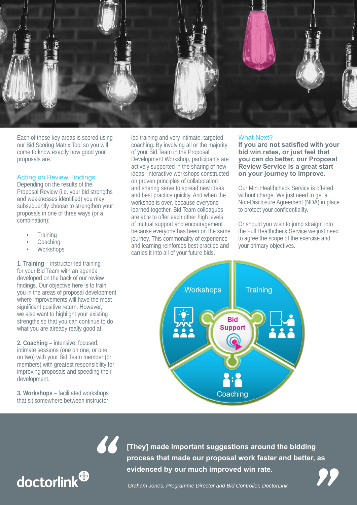

Each of these key areas is scored using our Bid Scoring Matrix Tool so you will come to know exactly how good your proposals are.

## Acting on Review Findings

Depending on the results of the Proposal Review (i.e. your bid strengths and weaknesses identified) you may subsequently choose to strengthen your proposals in one of three ways (or a combination):

- **Training**
- **Coaching**
- **Workshops**

**1. Training** – instructor-led training for your Bid Team with an agenda developed on the back of our review findings. Our objective here is to train you in the areas of proposal development where improvements will have the most significant positive return. However, we also want to highlight your existing strengths so that you can continue to do what you are already really good at.

**2. Coaching** – intensive, focused, intimate sessions (one on one, or one on two) with your Bid Team member (or members) with greatest responsibility for improving proposals and speeding their development.

**3. Workshops** – facilitated workshops that sit somewhere between instructor-

*"*

led training and very intimate, targeted coaching. By involving all or the majority of your Bid Team in the Proposal Development Workshop, participants are actively supported in the sharing of new ideas. Interactive workshops constructed on proven principles of collaboration and sharing serve to spread new ideas and best practice quickly. And when the workshop is over, because everyone learned together, Bid Team colleagues are able to offer each other high levels of mutual support and encouragement because everyone has been on the same journey. This commonality of experience and learning reinforces best practice and carries it into all of your future bids.

#### What Next?

**If you are not satisfied with your bid win rates, or just feel that you can do better, our Proposal Review Service is a great start on your journey to improve.**

Our Mini Healthcheck Service is offered without charge. We just need to get a Non-Disclosure Agreement (NDA) in place to protect your confidentiality.

Or should you wish to jump straight into the Full Healthcheck Service we just need to agree the scope of the exercise and your primary objectives.



**[They] made important suggestions around the bidding process that made our proposal work faster and better, as evidenced by our much improved win rate. They] made important suggestions around the bidding<br>process that made our proposal work faster and better, as<br>evidenced by our much improved win rate.<br>***Graham Jones, Programme Director and Bid Controller, DoctorLink* 

*"*